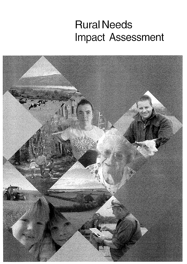# **Rural Needs Impact Assessment**

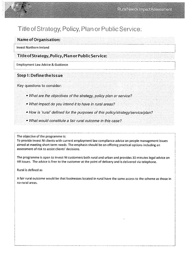

## Title of Strategy, Policy, Plan or Public Service:

#### Name of Organisation:

Invest Northern Ireland

#### Title of Strategy, Policy, Plan or Public Service:

Employment Law Advice & Guidance

#### Step 1: Define the Issue

Key questions to consider:

- What are the objectives of the strategy, policy plan or service?
- V/hat impact do you intend it to have in rural areas?
- How is 'rural' defined for the purposes of this policy/strategy/service/plan?
- What would constitute a fair rural outcome in this case?

#### The objective of the programme is:

To provide Invest NI clients with current employment law compliance advice on people management issues aimed at meeting short term needs. The emphasis should be on offering practical options including an assessment of risk to assist clients' decisions.

The programme is open to Invest NI customers both rural and urban and provides 30 minutes legal advice on HR issues. The advice is free to the customer at the point of delivery and is delivered via telephone.

Rural is defined as

<sup>A</sup> fair rural outcome would be that businesses located in rural have the same access to the scheme as those in no-rural areas.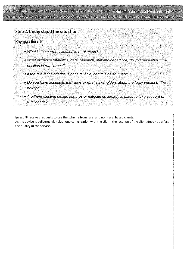

#### Step 2: Understand the situation

Key questions to consider

- What is the current situation in rural areas?
- What evidence (statistics, data, research, stakeholder advice) do you have about the position in rural areas?
- If the relevant evidence is not available, can this be sourced?
- Do you have access to the views of rural stakeholders about the likely impact of the policy?
- Are there existing design features or mitigations already in place to take account of rural needs?

Invest NI receives requests to use the scheme from rural and non-rural based clients As the advice is delivered via telephone conversation with the client, the location of the client does not affect the quality of the service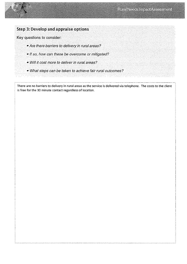

#### Step 3: Develop and appraise options

Key questions to consider:

- —Are there barriers to delivery in rural areas?
- If so, how can these be overcome or mitigated?
- o Will it cost more to deliver in rural areas?
- What steps can be taken to achieve fair rural outcomes?

There are no barriers to delivery in rural areas as the service is delivered via telephone. The costs to the client is free for the 30 minute contact regardless of location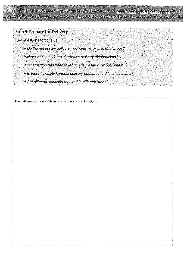

#### Step 4: Prepare for Delivery

Key questions to consider

- Do the necessary delivery mechanisms exist in rural areas?
- Have you considered alternative delivery mechanisms?
- <sup>o</sup> What action has been taken to ensure fair rural outcomes?
- Is there flexibility for local delivery bodies to find local solutions?
- Are different solutions required in different areas?

The delivery solution exists in rural and non-rural locations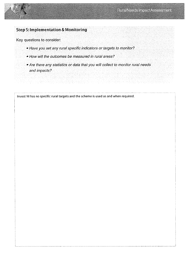

### StepS: Implementation & Monitoring

Key questions to consider:

- Have you set any rural specific indicators or targets to monitor?
- How will the outcomes be measured in rural areas?
- Are there any statistics or data that you will collect to monitor rural needs and impacts?

Invest NI has no specific rural targets and the scheme is used as and when required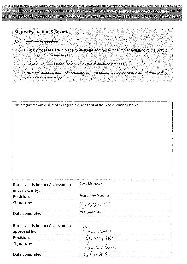

#### Step 6: Evaluation & Review

Key questions to consider:

- What processes are in place to evaluate and review the implementation of the policy, strategy, plan or service?
- Have rural needs been factored into the evaluation process?
- How will lessons learned in relation to rural outcomes be used to inform future policy making and delivery?

| The programme was evaluated by Cogent in 2018 as part of the People Solutions service. |                   |
|----------------------------------------------------------------------------------------|-------------------|
|                                                                                        |                   |
|                                                                                        |                   |
|                                                                                        |                   |
|                                                                                        |                   |
|                                                                                        |                   |
|                                                                                        |                   |
|                                                                                        |                   |
|                                                                                        |                   |
|                                                                                        |                   |
|                                                                                        |                   |
|                                                                                        |                   |
|                                                                                        |                   |
|                                                                                        |                   |
|                                                                                        |                   |
| <b>Rural Needs Impact Assessment</b>                                                   | David McKeown     |
| undertaken by:                                                                         |                   |
| Position:                                                                              | Programme Manager |
| Signature:                                                                             |                   |
|                                                                                        |                   |
| Date completed:                                                                        | 23 August 2018    |
|                                                                                        |                   |
|                                                                                        |                   |

| <b>Rural Needs Impact Assessment</b> |                |
|--------------------------------------|----------------|
| approved by:                         | Cenela Marron. |
| Position:                            | CLEALITY HGP   |
| Signature:                           | Varele News.   |
| Date completed:                      |                |